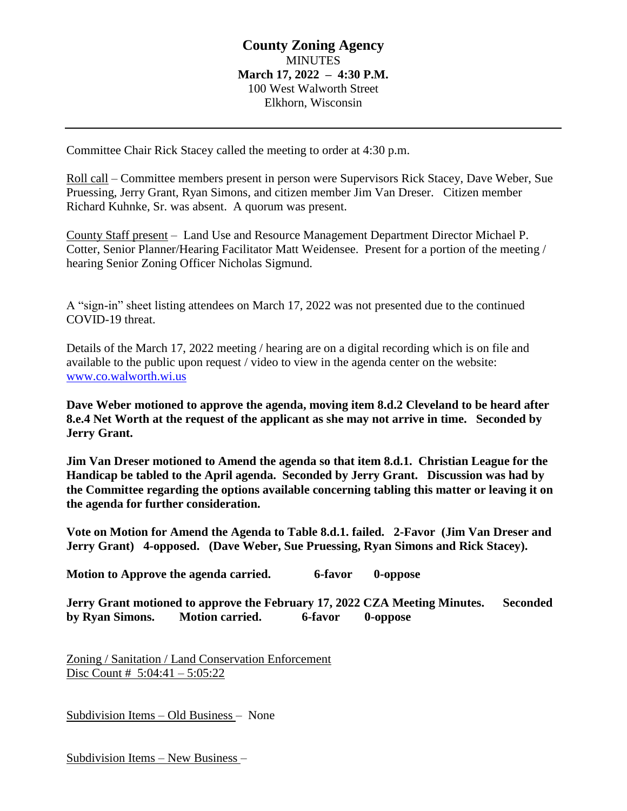# **County Zoning Agency MINUTES March 17, 2022 – 4:30 P.M.** 100 West Walworth Street Elkhorn, Wisconsin

Committee Chair Rick Stacey called the meeting to order at 4:30 p.m.

Roll call – Committee members present in person were Supervisors Rick Stacey, Dave Weber, Sue Pruessing, Jerry Grant, Ryan Simons, and citizen member Jim Van Dreser. Citizen member Richard Kuhnke, Sr. was absent. A quorum was present.

County Staff present – Land Use and Resource Management Department Director Michael P. Cotter, Senior Planner/Hearing Facilitator Matt Weidensee. Present for a portion of the meeting / hearing Senior Zoning Officer Nicholas Sigmund.

A "sign-in" sheet listing attendees on March 17, 2022 was not presented due to the continued COVID-19 threat.

Details of the March 17, 2022 meeting / hearing are on a digital recording which is on file and available to the public upon request / video to view in the agenda center on the website: [www.co.walworth.wi.us](http://www.co.walworth.wi.us/)

**Dave Weber motioned to approve the agenda, moving item 8.d.2 Cleveland to be heard after 8.e.4 Net Worth at the request of the applicant as she may not arrive in time. Seconded by Jerry Grant.** 

**Jim Van Dreser motioned to Amend the agenda so that item 8.d.1. Christian League for the Handicap be tabled to the April agenda. Seconded by Jerry Grant. Discussion was had by the Committee regarding the options available concerning tabling this matter or leaving it on the agenda for further consideration.** 

**Vote on Motion for Amend the Agenda to Table 8.d.1. failed. 2-Favor (Jim Van Dreser and Jerry Grant) 4-opposed. (Dave Weber, Sue Pruessing, Ryan Simons and Rick Stacey).** 

Motion to Approve the agenda carried. 6-favor 0-oppose

**Jerry Grant motioned to approve the February 17, 2022 CZA Meeting Minutes. Seconded by Ryan Simons. Motion carried. 6-favor 0-oppose**

Zoning / Sanitation / Land Conservation Enforcement Disc Count # 5:04:41 – 5:05:22

Subdivision Items – Old Business – None

Subdivision Items – New Business –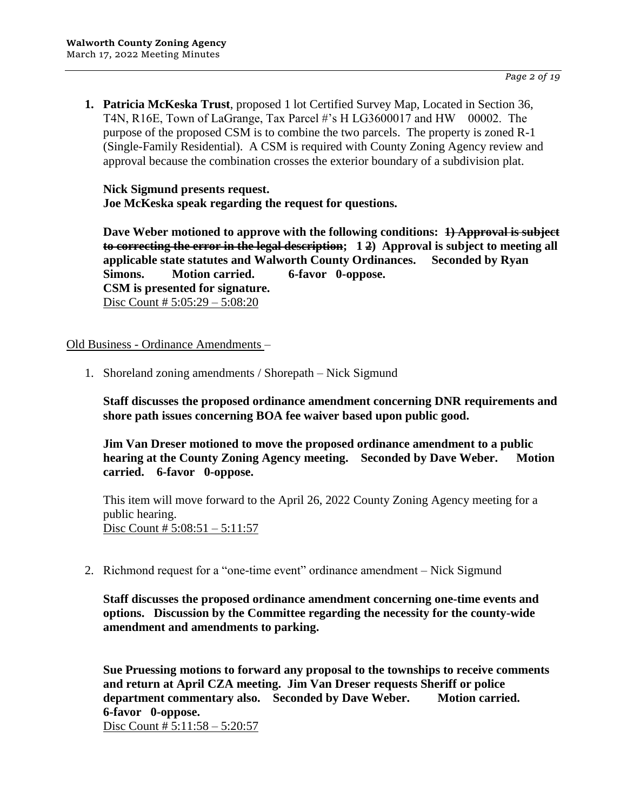**1. Patricia McKeska Trust**, proposed 1 lot Certified Survey Map, Located in Section 36, T4N, R16E, Town of LaGrange, Tax Parcel #'s H LG3600017 and HW 00002. The purpose of the proposed CSM is to combine the two parcels. The property is zoned R-1 (Single-Family Residential). A CSM is required with County Zoning Agency review and approval because the combination crosses the exterior boundary of a subdivision plat.

**Nick Sigmund presents request. Joe McKeska speak regarding the request for questions.**

**Dave Weber motioned to approve with the following conditions:** 4) Approval is subject **to correcting the error in the legal description; 1 2) Approval is subject to meeting all applicable state statutes and Walworth County Ordinances. Seconded by Ryan Simons. Motion carried. 6-favor 0-oppose. CSM is presented for signature.** Disc Count # 5:05:29 – 5:08:20

Old Business - Ordinance Amendments –

1. Shoreland zoning amendments / Shorepath – Nick Sigmund

**Staff discusses the proposed ordinance amendment concerning DNR requirements and shore path issues concerning BOA fee waiver based upon public good.**

**Jim Van Dreser motioned to move the proposed ordinance amendment to a public hearing at the County Zoning Agency meeting. Seconded by Dave Weber. Motion carried. 6-favor 0-oppose.**

This item will move forward to the April 26, 2022 County Zoning Agency meeting for a public hearing. Disc Count # 5:08:51 – 5:11:57

2. Richmond request for a "one-time event" ordinance amendment – Nick Sigmund

**Staff discusses the proposed ordinance amendment concerning one-time events and options. Discussion by the Committee regarding the necessity for the county-wide amendment and amendments to parking.**

**Sue Pruessing motions to forward any proposal to the townships to receive comments and return at April CZA meeting. Jim Van Dreser requests Sheriff or police department commentary also. Seconded by Dave Weber. Motion carried. 6-favor 0-oppose.** Disc Count # 5:11:58 – 5:20:57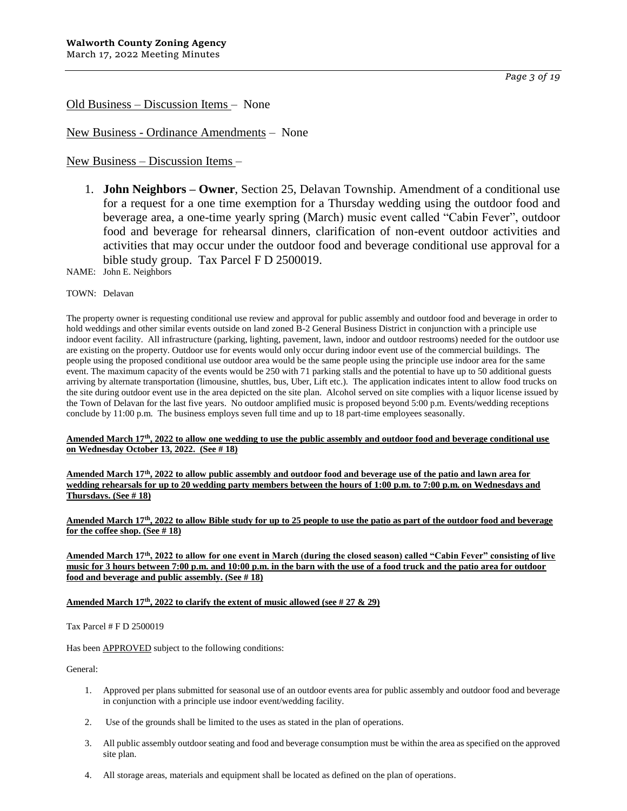*Page 3 of 19*

Old Business – Discussion Items – None

New Business - Ordinance Amendments – None

New Business – Discussion Items –

1. **John Neighbors – Owner**, Section 25, Delavan Township. Amendment of a conditional use for a request for a one time exemption for a Thursday wedding using the outdoor food and beverage area, a one-time yearly spring (March) music event called "Cabin Fever", outdoor food and beverage for rehearsal dinners, clarification of non-event outdoor activities and activities that may occur under the outdoor food and beverage conditional use approval for a bible study group. Tax Parcel F D 2500019.

NAME: John E. Neighbors

#### TOWN: Delavan

The property owner is requesting conditional use review and approval for public assembly and outdoor food and beverage in order to hold weddings and other similar events outside on land zoned B-2 General Business District in conjunction with a principle use indoor event facility. All infrastructure (parking, lighting, pavement, lawn, indoor and outdoor restrooms) needed for the outdoor use are existing on the property. Outdoor use for events would only occur during indoor event use of the commercial buildings. The people using the proposed conditional use outdoor area would be the same people using the principle use indoor area for the same event. The maximum capacity of the events would be 250 with 71 parking stalls and the potential to have up to 50 additional guests arriving by alternate transportation (limousine, shuttles, bus, Uber, Lift etc.). The application indicates intent to allow food trucks on the site during outdoor event use in the area depicted on the site plan. Alcohol served on site complies with a liquor license issued by the Town of Delavan for the last five years. No outdoor amplified music is proposed beyond 5:00 p.m. Events/wedding receptions conclude by 11:00 p.m. The business employs seven full time and up to 18 part-time employees seasonally.

#### **Amended March 17th, 2022 to allow one wedding to use the public assembly and outdoor food and beverage conditional use on Wednesday October 13, 2022. (See # 18)**

**Amended March 17th , 2022 to allow public assembly and outdoor food and beverage use of the patio and lawn area for wedding rehearsals for up to 20 wedding party members between the hours of 1:00 p.m. to 7:00 p.m. on Wednesdays and Thursdays. (See # 18)**

**Amended March 17th, 2022 to allow Bible study for up to 25 people to use the patio as part of the outdoor food and beverage for the coffee shop. (See # 18)**

#### **Amended March 17th, 2022 to allow for one event in March (during the closed season) called "Cabin Fever" consisting of live music for 3 hours between 7:00 p.m. and 10:00 p.m. in the barn with the use of a food truck and the patio area for outdoor food and beverage and public assembly. (See # 18)**

#### **Amended March 17th, 2022 to clarify the extent of music allowed (see # 27 & 29)**

Tax Parcel # F D 2500019

Has been **APPROVED** subject to the following conditions:

- 1. Approved per plans submitted for seasonal use of an outdoor events area for public assembly and outdoor food and beverage in conjunction with a principle use indoor event/wedding facility.
- 2. Use of the grounds shall be limited to the uses as stated in the plan of operations.
- 3. All public assembly outdoor seating and food and beverage consumption must be within the area as specified on the approved site plan.
- 4. All storage areas, materials and equipment shall be located as defined on the plan of operations.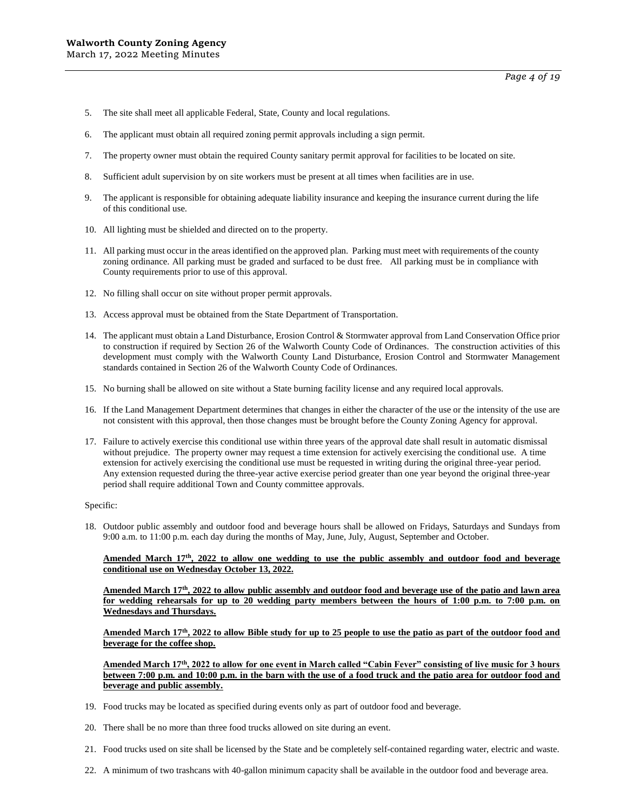- 5. The site shall meet all applicable Federal, State, County and local regulations.
- 6. The applicant must obtain all required zoning permit approvals including a sign permit.
- 7. The property owner must obtain the required County sanitary permit approval for facilities to be located on site.
- 8. Sufficient adult supervision by on site workers must be present at all times when facilities are in use.
- 9. The applicant is responsible for obtaining adequate liability insurance and keeping the insurance current during the life of this conditional use.
- 10. All lighting must be shielded and directed on to the property.
- 11. All parking must occur in the areas identified on the approved plan. Parking must meet with requirements of the county zoning ordinance. All parking must be graded and surfaced to be dust free. All parking must be in compliance with County requirements prior to use of this approval.
- 12. No filling shall occur on site without proper permit approvals.
- 13. Access approval must be obtained from the State Department of Transportation.
- 14. The applicant must obtain a Land Disturbance, Erosion Control & Stormwater approval from Land Conservation Office prior to construction if required by Section 26 of the Walworth County Code of Ordinances. The construction activities of this development must comply with the Walworth County Land Disturbance, Erosion Control and Stormwater Management standards contained in Section 26 of the Walworth County Code of Ordinances.
- 15. No burning shall be allowed on site without a State burning facility license and any required local approvals.
- 16. If the Land Management Department determines that changes in either the character of the use or the intensity of the use are not consistent with this approval, then those changes must be brought before the County Zoning Agency for approval.
- 17. Failure to actively exercise this conditional use within three years of the approval date shall result in automatic dismissal without prejudice. The property owner may request a time extension for actively exercising the conditional use. A time extension for actively exercising the conditional use must be requested in writing during the original three-year period. Any extension requested during the three-year active exercise period greater than one year beyond the original three-year period shall require additional Town and County committee approvals.

18. Outdoor public assembly and outdoor food and beverage hours shall be allowed on Fridays, Saturdays and Sundays from 9:00 a.m. to 11:00 p.m. each day during the months of May, June, July, August, September and October.

**Amended March 17th, 2022 to allow one wedding to use the public assembly and outdoor food and beverage conditional use on Wednesday October 13, 2022.** 

**Amended March 17th, 2022 to allow public assembly and outdoor food and beverage use of the patio and lawn area for wedding rehearsals for up to 20 wedding party members between the hours of 1:00 p.m. to 7:00 p.m. on Wednesdays and Thursdays.**

**Amended March 17th, 2022 to allow Bible study for up to 25 people to use the patio as part of the outdoor food and beverage for the coffee shop.**

**Amended March 17th, 2022 to allow for one event in March called "Cabin Fever" consisting of live music for 3 hours between 7:00 p.m. and 10:00 p.m. in the barn with the use of a food truck and the patio area for outdoor food and beverage and public assembly.**

- 19. Food trucks may be located as specified during events only as part of outdoor food and beverage.
- 20. There shall be no more than three food trucks allowed on site during an event.
- 21. Food trucks used on site shall be licensed by the State and be completely self-contained regarding water, electric and waste.
- 22. A minimum of two trashcans with 40-gallon minimum capacity shall be available in the outdoor food and beverage area.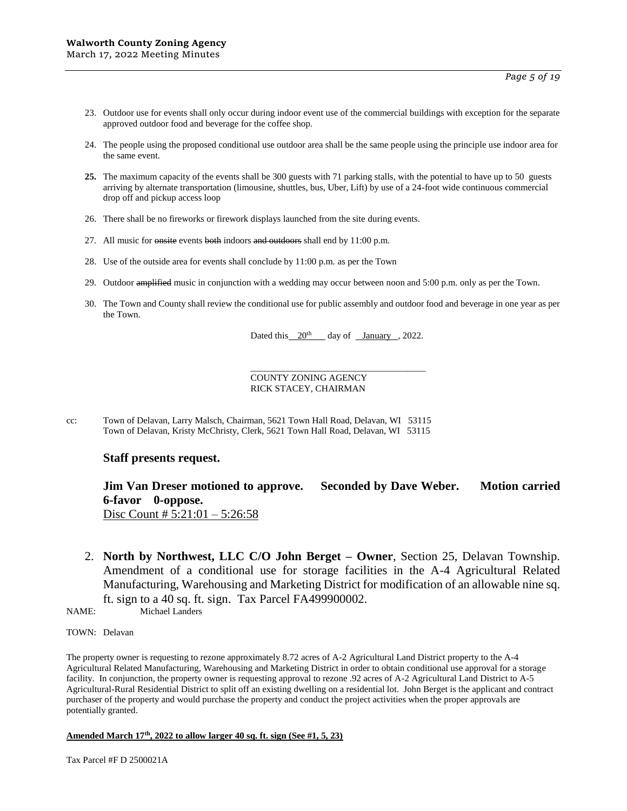- 23. Outdoor use for events shall only occur during indoor event use of the commercial buildings with exception for the separate approved outdoor food and beverage for the coffee shop.
- 24. The people using the proposed conditional use outdoor area shall be the same people using the principle use indoor area for the same event.
- **25.** The maximum capacity of the events shall be 300 guests with 71 parking stalls, with the potential to have up to 50 guests arriving by alternate transportation (limousine, shuttles, bus, Uber, Lift) by use of a 24-foot wide continuous commercial drop off and pickup access loop
- 26. There shall be no fireworks or firework displays launched from the site during events.
- 27. All music for  $\theta$  onsite events both indoors and outdoors shall end by 11:00 p.m.
- 28. Use of the outside area for events shall conclude by 11:00 p.m. as per the Town
- 29. Outdoor amplified music in conjunction with a wedding may occur between noon and 5:00 p.m. only as per the Town.
- 30. The Town and County shall review the conditional use for public assembly and outdoor food and beverage in one year as per the Town.

Dated this  $20^{th}$  day of January , 2022.

\_\_\_\_\_\_\_\_\_\_\_\_\_\_\_\_\_\_\_\_\_\_\_\_\_\_\_\_\_\_\_\_\_\_\_\_\_\_

COUNTY ZONING AGENCY RICK STACEY, CHAIRMAN

cc: Town of Delavan, Larry Malsch, Chairman, 5621 Town Hall Road, Delavan, WI 53115 Town of Delavan, Kristy McChristy, Clerk, 5621 Town Hall Road, Delavan, WI 53115

#### **Staff presents request.**

### **Jim Van Dreser motioned to approve. Seconded by Dave Weber. Motion carried 6-favor 0-oppose.** Disc Count # 5:21:01 – 5:26:58

2. **North by Northwest, LLC C/O John Berget – Owner**, Section 25, Delavan Township. Amendment of a conditional use for storage facilities in the A-4 Agricultural Related Manufacturing, Warehousing and Marketing District for modification of an allowable nine sq. ft. sign to a 40 sq. ft. sign. Tax Parcel FA499900002.

NAME: Michael Landers

TOWN: Delavan

The property owner is requesting to rezone approximately 8.72 acres of A-2 Agricultural Land District property to the A-4 Agricultural Related Manufacturing, Warehousing and Marketing District in order to obtain conditional use approval for a storage facility. In conjunction, the property owner is requesting approval to rezone .92 acres of A-2 Agricultural Land District to A-5 Agricultural-Rural Residential District to split off an existing dwelling on a residential lot. John Berget is the applicant and contract purchaser of the property and would purchase the property and conduct the project activities when the proper approvals are potentially granted.

#### **Amended March 17th, 2022 to allow larger 40 sq. ft. sign (See #1, 5, 23)**

Tax Parcel #F D 2500021A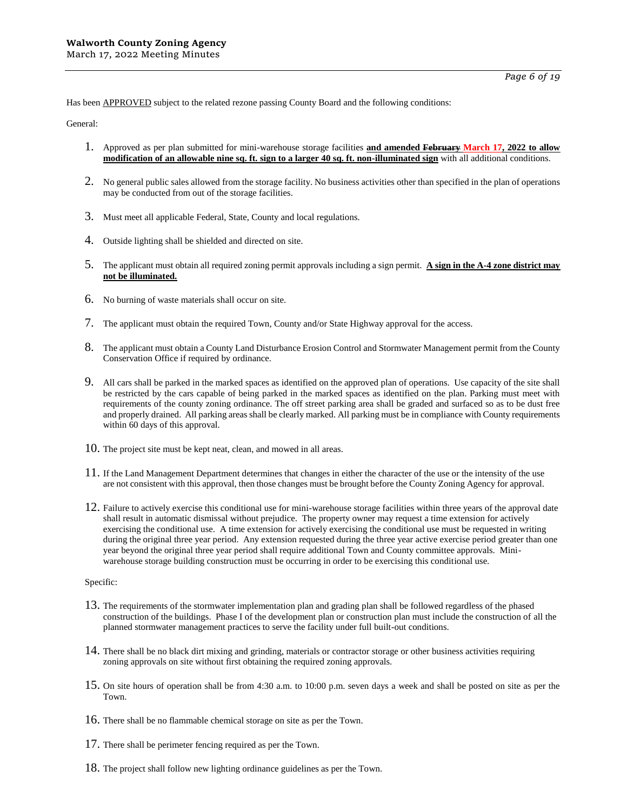Has been APPROVED subject to the related rezone passing County Board and the following conditions:

General:

- 1. Approved as per plan submitted for mini-warehouse storage facilities **and amended February March 17, 2022 to allow modification of an allowable nine sq. ft. sign to a larger 40 sq. ft. non-illuminated sign** with all additional conditions.
- 2. No general public sales allowed from the storage facility. No business activities other than specified in the plan of operations may be conducted from out of the storage facilities.
- 3. Must meet all applicable Federal, State, County and local regulations.
- 4. Outside lighting shall be shielded and directed on site.
- 5. The applicant must obtain all required zoning permit approvals including a sign permit. **A sign in the A-4 zone district may not be illuminated.**
- 6. No burning of waste materials shall occur on site.
- 7. The applicant must obtain the required Town, County and/or State Highway approval for the access.
- 8. The applicant must obtain a County Land Disturbance Erosion Control and Stormwater Management permit from the County Conservation Office if required by ordinance.
- 9. All cars shall be parked in the marked spaces as identified on the approved plan of operations. Use capacity of the site shall be restricted by the cars capable of being parked in the marked spaces as identified on the plan. Parking must meet with requirements of the county zoning ordinance. The off street parking area shall be graded and surfaced so as to be dust free and properly drained. All parking areas shall be clearly marked. All parking must be in compliance with County requirements within 60 days of this approval.
- 10. The project site must be kept neat, clean, and mowed in all areas.
- $11.$  If the Land Management Department determines that changes in either the character of the use or the intensity of the use are not consistent with this approval, then those changes must be brought before the County Zoning Agency for approval.
- 12. Failure to actively exercise this conditional use for mini-warehouse storage facilities within three years of the approval date shall result in automatic dismissal without prejudice. The property owner may request a time extension for actively exercising the conditional use. A time extension for actively exercising the conditional use must be requested in writing during the original three year period. Any extension requested during the three year active exercise period greater than one year beyond the original three year period shall require additional Town and County committee approvals. Miniwarehouse storage building construction must be occurring in order to be exercising this conditional use.

#### Specific:

- 13. The requirements of the stormwater implementation plan and grading plan shall be followed regardless of the phased construction of the buildings. Phase I of the development plan or construction plan must include the construction of all the planned stormwater management practices to serve the facility under full built-out conditions.
- 14. There shall be no black dirt mixing and grinding, materials or contractor storage or other business activities requiring zoning approvals on site without first obtaining the required zoning approvals.
- 15. On site hours of operation shall be from 4:30 a.m. to 10:00 p.m. seven days a week and shall be posted on site as per the Town.
- 16. There shall be no flammable chemical storage on site as per the Town.
- 17. There shall be perimeter fencing required as per the Town.
- 18. The project shall follow new lighting ordinance guidelines as per the Town.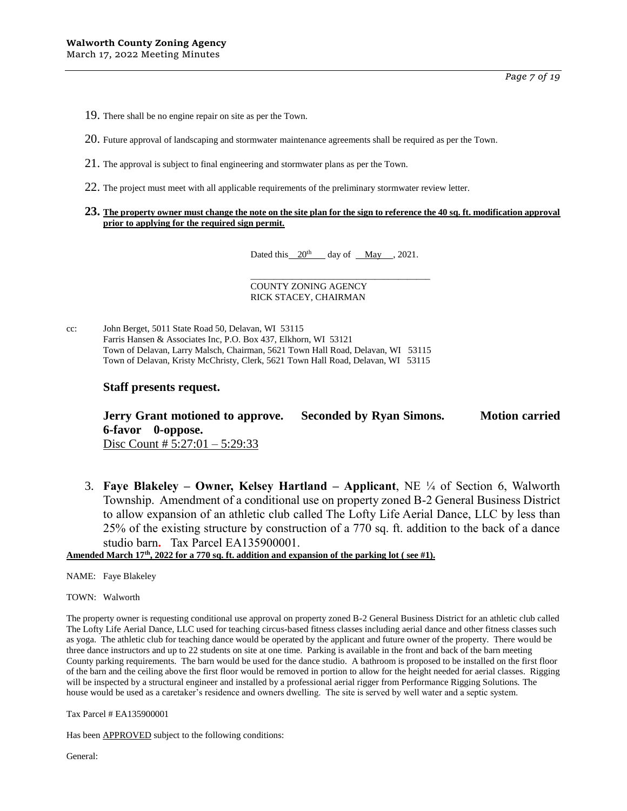*Page 7 of 19*

19. There shall be no engine repair on site as per the Town.

20. Future approval of landscaping and stormwater maintenance agreements shall be required as per the Town.

- 21. The approval is subject to final engineering and stormwater plans as per the Town.
- 22. The project must meet with all applicable requirements of the preliminary stormwater review letter.

#### **23. The property owner must change the note on the site plan for the sign to reference the 40 sq. ft. modification approval prior to applying for the required sign permit.**

Dated this  $20^{th}$  day of May , 2021.

\_\_\_\_\_\_\_\_\_\_\_\_\_\_\_\_\_\_\_\_\_\_\_\_\_\_\_\_\_\_\_\_\_\_\_\_\_\_\_

COUNTY ZONING AGENCY RICK STACEY, CHAIRMAN

cc: John Berget, 5011 State Road 50, Delavan, WI 53115 Farris Hansen & Associates Inc, P.O. Box 437, Elkhorn, WI 53121 Town of Delavan, Larry Malsch, Chairman, 5621 Town Hall Road, Delavan, WI 53115 Town of Delavan, Kristy McChristy, Clerk, 5621 Town Hall Road, Delavan, WI 53115

### **Staff presents request.**

**Jerry Grant motioned to approve. Seconded by Ryan Simons. Motion carried 6-favor 0-oppose.** Disc Count #  $5:27:01 - 5:29:33$ 

3. **Faye Blakeley – Owner, Kelsey Hartland – Applicant**, NE ¼ of Section 6, Walworth Township. Amendment of a conditional use on property zoned B-2 General Business District to allow expansion of an athletic club called The Lofty Life Aerial Dance, LLC by less than 25% of the existing structure by construction of a 770 sq. ft. addition to the back of a dance studio barn**.** Tax Parcel EA135900001.

**Amended March 17th, 2022 for a 770 sq. ft. addition and expansion of the parking lot ( see #1).**

NAME: Faye Blakeley

TOWN: Walworth

The property owner is requesting conditional use approval on property zoned B-2 General Business District for an athletic club called The Lofty Life Aerial Dance, LLC used for teaching circus-based fitness classes including aerial dance and other fitness classes such as yoga. The athletic club for teaching dance would be operated by the applicant and future owner of the property. There would be three dance instructors and up to 22 students on site at one time. Parking is available in the front and back of the barn meeting County parking requirements. The barn would be used for the dance studio. A bathroom is proposed to be installed on the first floor of the barn and the ceiling above the first floor would be removed in portion to allow for the height needed for aerial classes. Rigging will be inspected by a structural engineer and installed by a professional aerial rigger from Performance Rigging Solutions. The house would be used as a caretaker's residence and owners dwelling. The site is served by well water and a septic system.

Tax Parcel # EA135900001

Has been APPROVED subject to the following conditions: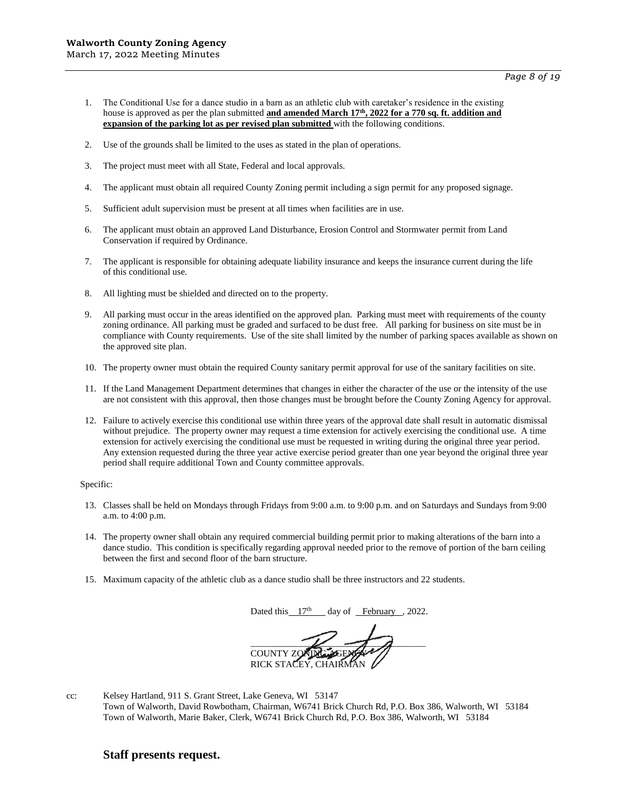- 1. The Conditional Use for a dance studio in a barn as an athletic club with caretaker's residence in the existing house is approved as per the plan submitted **and amended March 17th, 2022 for a 770 sq. ft. addition and expansion of the parking lot as per revised plan submitted** with the following conditions.
- 2. Use of the grounds shall be limited to the uses as stated in the plan of operations.
- 3. The project must meet with all State, Federal and local approvals.
- 4. The applicant must obtain all required County Zoning permit including a sign permit for any proposed signage.
- 5. Sufficient adult supervision must be present at all times when facilities are in use.
- 6. The applicant must obtain an approved Land Disturbance, Erosion Control and Stormwater permit from Land Conservation if required by Ordinance.
- 7. The applicant is responsible for obtaining adequate liability insurance and keeps the insurance current during the life of this conditional use.
- 8. All lighting must be shielded and directed on to the property.
- 9. All parking must occur in the areas identified on the approved plan. Parking must meet with requirements of the county zoning ordinance. All parking must be graded and surfaced to be dust free. All parking for business on site must be in compliance with County requirements. Use of the site shall limited by the number of parking spaces available as shown on the approved site plan.
- 10. The property owner must obtain the required County sanitary permit approval for use of the sanitary facilities on site.
- 11. If the Land Management Department determines that changes in either the character of the use or the intensity of the use are not consistent with this approval, then those changes must be brought before the County Zoning Agency for approval.
- 12. Failure to actively exercise this conditional use within three years of the approval date shall result in automatic dismissal without prejudice. The property owner may request a time extension for actively exercising the conditional use. A time extension for actively exercising the conditional use must be requested in writing during the original three year period. Any extension requested during the three year active exercise period greater than one year beyond the original three year period shall require additional Town and County committee approvals.

- 13. Classes shall be held on Mondays through Fridays from 9:00 a.m. to 9:00 p.m. and on Saturdays and Sundays from 9:00 a.m. to 4:00 p.m.
- 14. The property owner shall obtain any required commercial building permit prior to making alterations of the barn into a dance studio. This condition is specifically regarding approval needed prior to the remove of portion of the barn ceiling between the first and second floor of the barn structure.
- 15. Maximum capacity of the athletic club as a dance studio shall be three instructors and 22 students.

Dated this  $17<sup>th</sup>$  day of February , 2022.

 $\frac{1}{\sqrt{2}}$ **COUNTY ZO** RICK STACEY, CHAIRM

cc: Kelsey Hartland, 911 S. Grant Street, Lake Geneva, WI 53147 Town of Walworth, David Rowbotham, Chairman, W6741 Brick Church Rd, P.O. Box 386, Walworth, WI 53184 Town of Walworth, Marie Baker, Clerk, W6741 Brick Church Rd, P.O. Box 386, Walworth, WI 53184

### **Staff presents request.**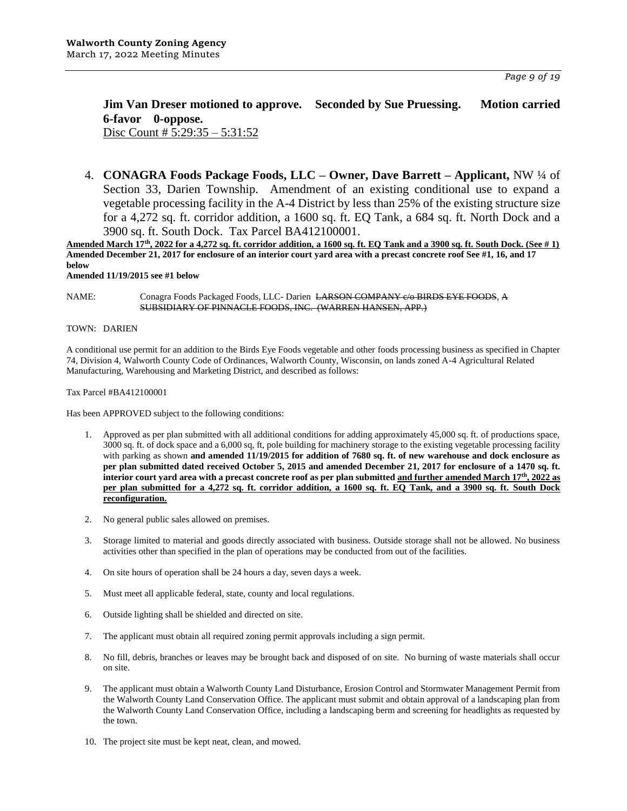*Page 9 of 19*

# **Jim Van Dreser motioned to approve. Seconded by Sue Pruessing. Motion carried 6-favor 0-oppose.**

Disc Count # 5:29:35 – 5:31:52

4. **CONAGRA Foods Package Foods, LLC – Owner, Dave Barrett – Applicant,** NW ¼ of Section 33, Darien Township. Amendment of an existing conditional use to expand a vegetable processing facility in the A-4 District by less than 25% of the existing structure size for a 4,272 sq. ft. corridor addition, a 1600 sq. ft. EQ Tank, a 684 sq. ft. North Dock and a 3900 sq. ft. South Dock. Tax Parcel BA412100001.

**Amended March 17th, 2022 for a 4,272 sq. ft. corridor addition, a 1600 sq. ft. EQ Tank and a 3900 sq. ft. South Dock. (See # 1) Amended December 21, 2017 for enclosure of an interior court yard area with a precast concrete roof See #1, 16, and 17 below**

**Amended 11/19/2015 see #1 below**

NAME: Conagra Foods Packaged Foods, LLC- Darien LARSON COMPANY c/o BIRDS EYE FOODS, A SUBSIDIARY OF PINNACLE FOODS, INC. (WARREN HANSEN, APP.)

TOWN: DARIEN

A conditional use permit for an addition to the Birds Eye Foods vegetable and other foods processing business as specified in Chapter 74, Division 4, Walworth County Code of Ordinances, Walworth County, Wisconsin, on lands zoned A-4 Agricultural Related Manufacturing, Warehousing and Marketing District, and described as follows:

Tax Parcel #BA412100001

Has been APPROVED subject to the following conditions:

- 1. Approved as per plan submitted with all additional conditions for adding approximately 45,000 sq. ft. of productions space, 3000 sq. ft. of dock space and a 6,000 sq, ft, pole building for machinery storage to the existing vegetable processing facility with parking as shown **and amended 11/19/2015 for addition of 7680 sq. ft. of new warehouse and dock enclosure as per plan submitted dated received October 5, 2015 and amended December 21, 2017 for enclosure of a 1470 sq. ft. interior court yard area with a precast concrete roof as per plan submitted and further amended March 17th, 2022 as per plan submitted for a 4,272 sq. ft. corridor addition, a 1600 sq. ft. EQ Tank, and a 3900 sq. ft. South Dock reconfiguration.**
- 2. No general public sales allowed on premises.
- 3. Storage limited to material and goods directly associated with business. Outside storage shall not be allowed. No business activities other than specified in the plan of operations may be conducted from out of the facilities.
- 4. On site hours of operation shall be 24 hours a day, seven days a week.
- 5. Must meet all applicable federal, state, county and local regulations.
- 6. Outside lighting shall be shielded and directed on site.
- 7. The applicant must obtain all required zoning permit approvals including a sign permit.
- 8. No fill, debris, branches or leaves may be brought back and disposed of on site. No burning of waste materials shall occur on site.
- 9. The applicant must obtain a Walworth County Land Disturbance, Erosion Control and Stormwater Management Permit from the Walworth County Land Conservation Office. The applicant must submit and obtain approval of a landscaping plan from the Walworth County Land Conservation Office, including a landscaping berm and screening for headlights as requested by the town.
- 10. The project site must be kept neat, clean, and mowed.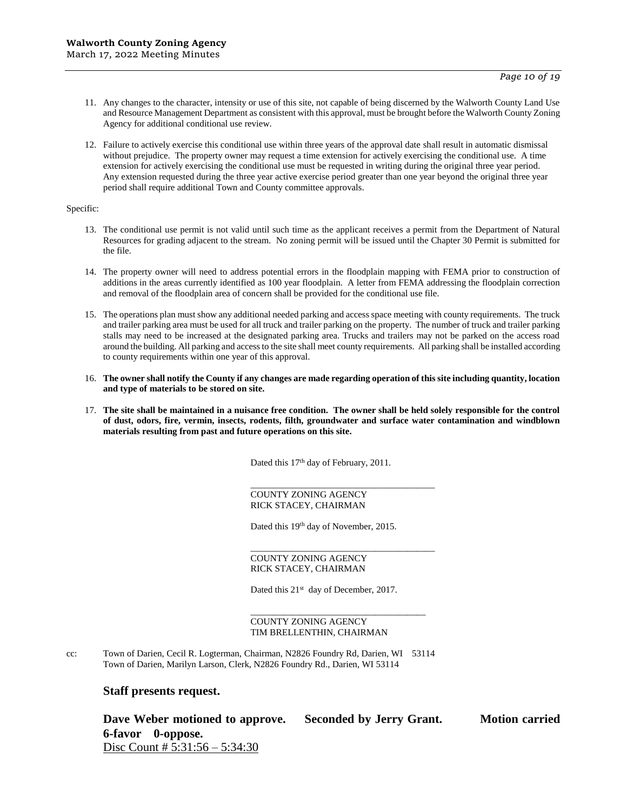- 11. Any changes to the character, intensity or use of this site, not capable of being discerned by the Walworth County Land Use and Resource Management Department as consistent with this approval, must be brought before the Walworth County Zoning Agency for additional conditional use review.
- 12. Failure to actively exercise this conditional use within three years of the approval date shall result in automatic dismissal without prejudice. The property owner may request a time extension for actively exercising the conditional use. A time extension for actively exercising the conditional use must be requested in writing during the original three year period. Any extension requested during the three year active exercise period greater than one year beyond the original three year period shall require additional Town and County committee approvals.

- 13. The conditional use permit is not valid until such time as the applicant receives a permit from the Department of Natural Resources for grading adjacent to the stream. No zoning permit will be issued until the Chapter 30 Permit is submitted for the file.
- 14. The property owner will need to address potential errors in the floodplain mapping with FEMA prior to construction of additions in the areas currently identified as 100 year floodplain. A letter from FEMA addressing the floodplain correction and removal of the floodplain area of concern shall be provided for the conditional use file.
- 15. The operations plan must show any additional needed parking and access space meeting with county requirements. The truck and trailer parking area must be used for all truck and trailer parking on the property. The number of truck and trailer parking stalls may need to be increased at the designated parking area. Trucks and trailers may not be parked on the access road around the building. All parking and access to the site shall meet county requirements. All parking shall be installed according to county requirements within one year of this approval.
- 16. **The owner shall notify the County if any changes are made regarding operation of this site including quantity, location and type of materials to be stored on site.**
- 17. **The site shall be maintained in a nuisance free condition. The owner shall be held solely responsible for the control of dust, odors, fire, vermin, insects, rodents, filth, groundwater and surface water contamination and windblown materials resulting from past and future operations on this site.**

Dated this 17<sup>th</sup> day of February, 2011.

\_\_\_\_\_\_\_\_\_\_\_\_\_\_\_\_\_\_\_\_\_\_\_\_\_\_\_\_\_\_\_\_\_\_\_\_\_\_\_\_

\_\_\_\_\_\_\_\_\_\_\_\_\_\_\_\_\_\_\_\_\_\_\_\_\_\_\_\_\_\_\_\_\_\_\_\_\_\_\_\_

COUNTY ZONING AGENCY RICK STACEY, CHAIRMAN

Dated this 19<sup>th</sup> day of November, 2015.

#### COUNTY ZONING AGENCY RICK STACEY, CHAIRMAN

Dated this 21<sup>st</sup> day of December, 2017.

#### \_\_\_\_\_\_\_\_\_\_\_\_\_\_\_\_\_\_\_\_\_\_\_\_\_\_\_\_\_\_\_\_\_\_\_\_\_\_ COUNTY ZONING AGENCY TIM BRELLENTHIN, CHAIRMAN

cc: Town of Darien, Cecil R. Logterman, Chairman, N2826 Foundry Rd, Darien, WI 53114 Town of Darien, Marilyn Larson, Clerk, N2826 Foundry Rd., Darien, WI 53114

### **Staff presents request.**

**Dave Weber motioned to approve. Seconded by Jerry Grant. Motion carried 6-favor 0-oppose.** Disc Count # 5:31:56 – 5:34:30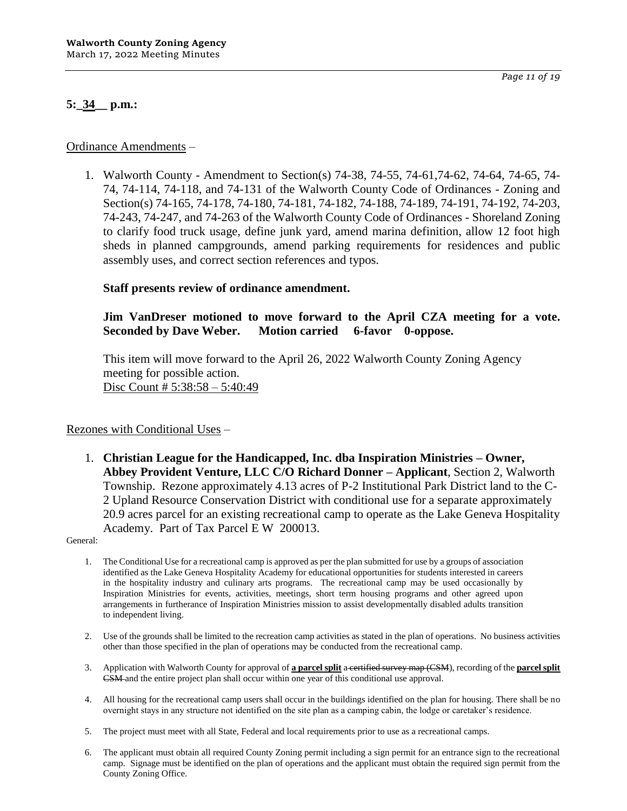# **5:\_34\_\_ p.m.:**

1. Walworth County - Amendment to Section(s) 74-38, 74-55, 74-61,74-62, 74-64, 74-65, 74- 74, 74-114, 74-118, and 74-131 of the Walworth County Code of Ordinances - Zoning and Section(s) 74-165, 74-178, 74-180, 74-181, 74-182, 74-188, 74-189, 74-191, 74-192, 74-203, 74-243, 74-247, and 74-263 of the Walworth County Code of Ordinances - Shoreland Zoning to clarify food truck usage, define junk yard, amend marina definition, allow 12 foot high sheds in planned campgrounds, amend parking requirements for residences and public assembly uses, and correct section references and typos.

# **Staff presents review of ordinance amendment.**

### **Jim VanDreser motioned to move forward to the April CZA meeting for a vote. Seconded by Dave Weber. Motion carried 6-favor 0-oppose.**

This item will move forward to the April 26, 2022 Walworth County Zoning Agency meeting for possible action. Disc Count # 5:38:58 – 5:40:49

### Rezones with Conditional Uses –

1. **Christian League for the Handicapped, Inc. dba Inspiration Ministries – Owner, Abbey Provident Venture, LLC C/O Richard Donner – Applicant**, Section 2, Walworth Township. Rezone approximately 4.13 acres of P-2 Institutional Park District land to the C-2 Upland Resource Conservation District with conditional use for a separate approximately 20.9 acres parcel for an existing recreational camp to operate as the Lake Geneva Hospitality Academy. Part of Tax Parcel E W 200013.

- 1. The Conditional Use for a recreational camp is approved as per the plan submitted for use by a groups of association identified as the Lake Geneva Hospitality Academy for educational opportunities for students interested in careers in the hospitality industry and culinary arts programs. The recreational camp may be used occasionally by Inspiration Ministries for events, activities, meetings, short term housing programs and other agreed upon arrangements in furtherance of Inspiration Ministries mission to assist developmentally disabled adults transition to independent living.
- 2. Use of the grounds shall be limited to the recreation camp activities as stated in the plan of operations. No business activities other than those specified in the plan of operations may be conducted from the recreational camp.
- 3. Application with Walworth County for approval of **a parcel split** a certified survey map (CSM), recording of the **parcel split** CSM and the entire project plan shall occur within one year of this conditional use approval.
- 4. All housing for the recreational camp users shall occur in the buildings identified on the plan for housing. There shall be no overnight stays in any structure not identified on the site plan as a camping cabin, the lodge or caretaker's residence.
- 5. The project must meet with all State, Federal and local requirements prior to use as a recreational camps.
- 6. The applicant must obtain all required County Zoning permit including a sign permit for an entrance sign to the recreational camp. Signage must be identified on the plan of operations and the applicant must obtain the required sign permit from the County Zoning Office.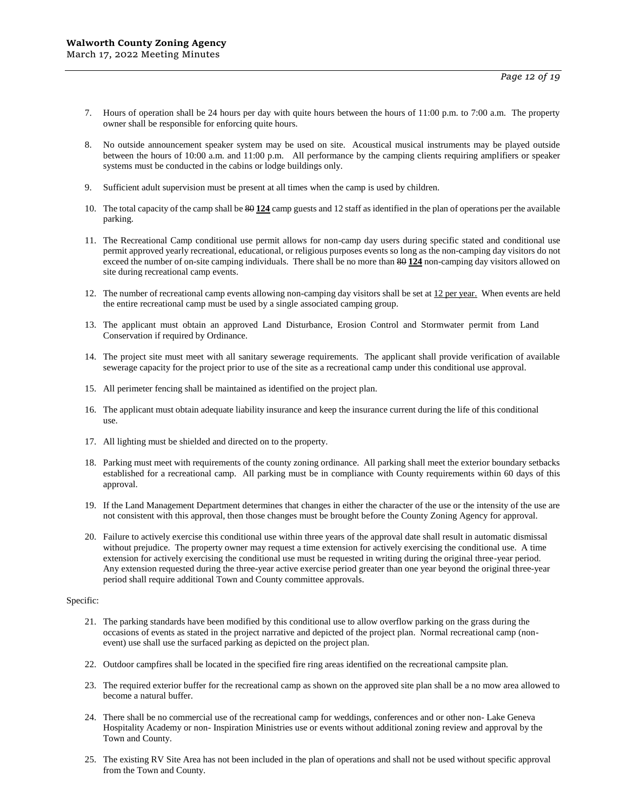- 7. Hours of operation shall be 24 hours per day with quite hours between the hours of 11:00 p.m. to 7:00 a.m. The property owner shall be responsible for enforcing quite hours.
- 8. No outside announcement speaker system may be used on site. Acoustical musical instruments may be played outside between the hours of 10:00 a.m. and 11:00 p.m. All performance by the camping clients requiring amplifiers or speaker systems must be conducted in the cabins or lodge buildings only.
- 9. Sufficient adult supervision must be present at all times when the camp is used by children.
- 10. The total capacity of the camp shall be 80 **124** camp guests and 12 staff as identified in the plan of operations per the available parking.
- 11. The Recreational Camp conditional use permit allows for non-camp day users during specific stated and conditional use permit approved yearly recreational, educational, or religious purposes events so long as the non-camping day visitors do not exceed the number of on-site camping individuals. There shall be no more than 80 **124** non-camping day visitors allowed on site during recreational camp events.
- 12. The number of recreational camp events allowing non-camping day visitors shall be set at 12 per year. When events are held the entire recreational camp must be used by a single associated camping group.
- 13. The applicant must obtain an approved Land Disturbance, Erosion Control and Stormwater permit from Land Conservation if required by Ordinance.
- 14. The project site must meet with all sanitary sewerage requirements. The applicant shall provide verification of available sewerage capacity for the project prior to use of the site as a recreational camp under this conditional use approval.
- 15. All perimeter fencing shall be maintained as identified on the project plan.
- 16. The applicant must obtain adequate liability insurance and keep the insurance current during the life of this conditional use.
- 17. All lighting must be shielded and directed on to the property.
- 18. Parking must meet with requirements of the county zoning ordinance. All parking shall meet the exterior boundary setbacks established for a recreational camp. All parking must be in compliance with County requirements within 60 days of this approval.
- 19. If the Land Management Department determines that changes in either the character of the use or the intensity of the use are not consistent with this approval, then those changes must be brought before the County Zoning Agency for approval.
- 20. Failure to actively exercise this conditional use within three years of the approval date shall result in automatic dismissal without prejudice. The property owner may request a time extension for actively exercising the conditional use. A time extension for actively exercising the conditional use must be requested in writing during the original three-year period. Any extension requested during the three-year active exercise period greater than one year beyond the original three-year period shall require additional Town and County committee approvals.

- 21. The parking standards have been modified by this conditional use to allow overflow parking on the grass during the occasions of events as stated in the project narrative and depicted of the project plan. Normal recreational camp (nonevent) use shall use the surfaced parking as depicted on the project plan.
- 22. Outdoor campfires shall be located in the specified fire ring areas identified on the recreational campsite plan.
- 23. The required exterior buffer for the recreational camp as shown on the approved site plan shall be a no mow area allowed to become a natural buffer.
- 24. There shall be no commercial use of the recreational camp for weddings, conferences and or other non- Lake Geneva Hospitality Academy or non- Inspiration Ministries use or events without additional zoning review and approval by the Town and County.
- 25. The existing RV Site Area has not been included in the plan of operations and shall not be used without specific approval from the Town and County.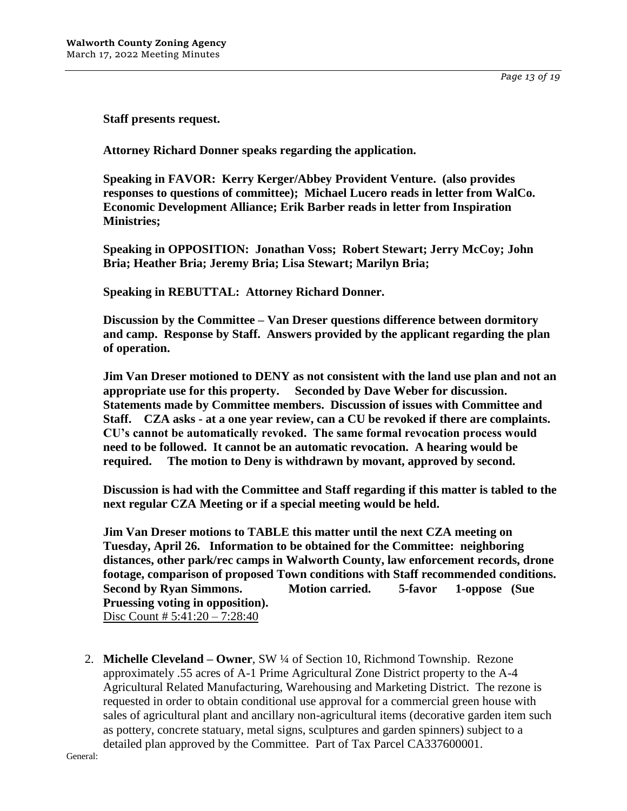*Page 13 of 19*

**Staff presents request.**

**Attorney Richard Donner speaks regarding the application.**

**Speaking in FAVOR: Kerry Kerger/Abbey Provident Venture. (also provides responses to questions of committee); Michael Lucero reads in letter from WalCo. Economic Development Alliance; Erik Barber reads in letter from Inspiration Ministries;** 

**Speaking in OPPOSITION: Jonathan Voss; Robert Stewart; Jerry McCoy; John Bria; Heather Bria; Jeremy Bria; Lisa Stewart; Marilyn Bria;** 

**Speaking in REBUTTAL: Attorney Richard Donner.**

**Discussion by the Committee – Van Dreser questions difference between dormitory and camp. Response by Staff. Answers provided by the applicant regarding the plan of operation.**

**Jim Van Dreser motioned to DENY as not consistent with the land use plan and not an appropriate use for this property. Seconded by Dave Weber for discussion. Statements made by Committee members. Discussion of issues with Committee and Staff. CZA asks - at a one year review, can a CU be revoked if there are complaints. CU's cannot be automatically revoked. The same formal revocation process would need to be followed. It cannot be an automatic revocation. A hearing would be required. The motion to Deny is withdrawn by movant, approved by second.**

**Discussion is had with the Committee and Staff regarding if this matter is tabled to the next regular CZA Meeting or if a special meeting would be held.**

**Jim Van Dreser motions to TABLE this matter until the next CZA meeting on Tuesday, April 26. Information to be obtained for the Committee: neighboring distances, other park/rec camps in Walworth County, law enforcement records, drone footage, comparison of proposed Town conditions with Staff recommended conditions. Second by Ryan Simmons. Motion carried. 5-favor 1-oppose (Sue Pruessing voting in opposition).** Disc Count # 5:41:20 – 7:28:40

2. **Michelle Cleveland – Owner**, SW ¼ of Section 10, Richmond Township. Rezone approximately .55 acres of A-1 Prime Agricultural Zone District property to the A-4 Agricultural Related Manufacturing, Warehousing and Marketing District. The rezone is requested in order to obtain conditional use approval for a commercial green house with sales of agricultural plant and ancillary non-agricultural items (decorative garden item such as pottery, concrete statuary, metal signs, sculptures and garden spinners) subject to a detailed plan approved by the Committee. Part of Tax Parcel CA337600001.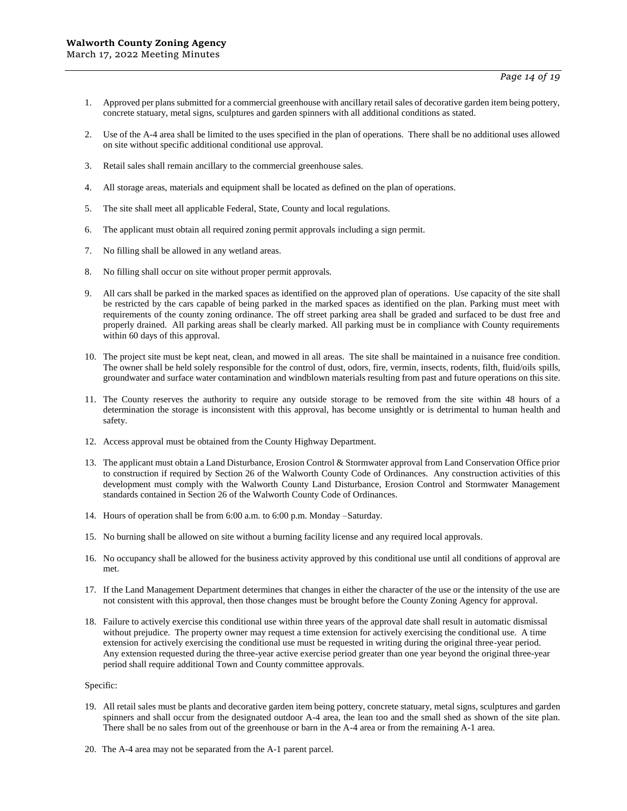- 1. Approved per plans submitted for a commercial greenhouse with ancillary retail sales of decorative garden item being pottery, concrete statuary, metal signs, sculptures and garden spinners with all additional conditions as stated.
- 2. Use of the A-4 area shall be limited to the uses specified in the plan of operations. There shall be no additional uses allowed on site without specific additional conditional use approval.
- 3. Retail sales shall remain ancillary to the commercial greenhouse sales.
- 4. All storage areas, materials and equipment shall be located as defined on the plan of operations.
- 5. The site shall meet all applicable Federal, State, County and local regulations.
- 6. The applicant must obtain all required zoning permit approvals including a sign permit.
- 7. No filling shall be allowed in any wetland areas.
- 8. No filling shall occur on site without proper permit approvals.
- 9. All cars shall be parked in the marked spaces as identified on the approved plan of operations. Use capacity of the site shall be restricted by the cars capable of being parked in the marked spaces as identified on the plan. Parking must meet with requirements of the county zoning ordinance. The off street parking area shall be graded and surfaced to be dust free and properly drained. All parking areas shall be clearly marked. All parking must be in compliance with County requirements within 60 days of this approval.
- 10. The project site must be kept neat, clean, and mowed in all areas. The site shall be maintained in a nuisance free condition. The owner shall be held solely responsible for the control of dust, odors, fire, vermin, insects, rodents, filth, fluid/oils spills, groundwater and surface water contamination and windblown materials resulting from past and future operations on this site.
- 11. The County reserves the authority to require any outside storage to be removed from the site within 48 hours of a determination the storage is inconsistent with this approval, has become unsightly or is detrimental to human health and safety.
- 12. Access approval must be obtained from the County Highway Department.
- 13. The applicant must obtain a Land Disturbance, Erosion Control & Stormwater approval from Land Conservation Office prior to construction if required by Section 26 of the Walworth County Code of Ordinances. Any construction activities of this development must comply with the Walworth County Land Disturbance, Erosion Control and Stormwater Management standards contained in Section 26 of the Walworth County Code of Ordinances.
- 14. Hours of operation shall be from 6:00 a.m. to 6:00 p.m. Monday –Saturday.
- 15. No burning shall be allowed on site without a burning facility license and any required local approvals.
- 16. No occupancy shall be allowed for the business activity approved by this conditional use until all conditions of approval are met.
- 17. If the Land Management Department determines that changes in either the character of the use or the intensity of the use are not consistent with this approval, then those changes must be brought before the County Zoning Agency for approval.
- 18. Failure to actively exercise this conditional use within three years of the approval date shall result in automatic dismissal without prejudice. The property owner may request a time extension for actively exercising the conditional use. A time extension for actively exercising the conditional use must be requested in writing during the original three-year period. Any extension requested during the three-year active exercise period greater than one year beyond the original three-year period shall require additional Town and County committee approvals.

- 19. All retail sales must be plants and decorative garden item being pottery, concrete statuary, metal signs, sculptures and garden spinners and shall occur from the designated outdoor A-4 area, the lean too and the small shed as shown of the site plan. There shall be no sales from out of the greenhouse or barn in the A-4 area or from the remaining A-1 area.
- 20. The A-4 area may not be separated from the A-1 parent parcel.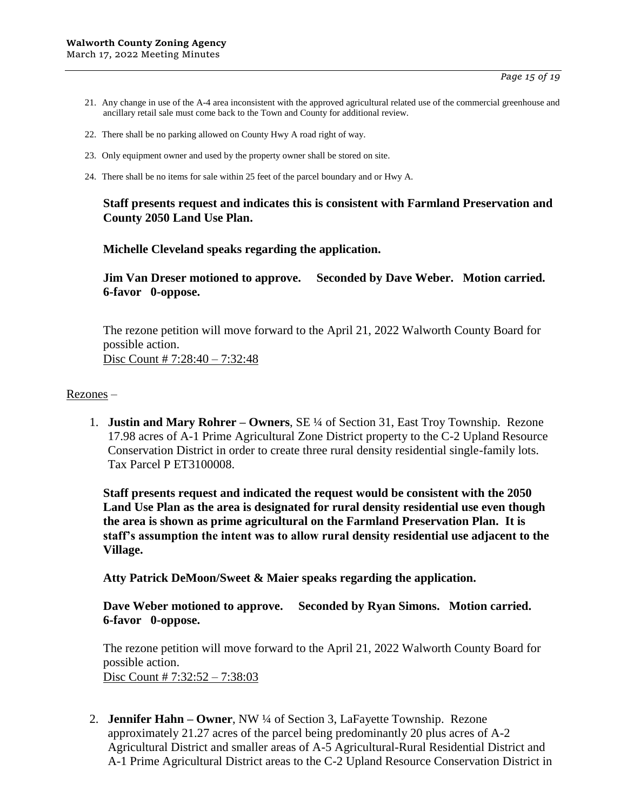- 21. Any change in use of the A-4 area inconsistent with the approved agricultural related use of the commercial greenhouse and ancillary retail sale must come back to the Town and County for additional review.
- 22. There shall be no parking allowed on County Hwy A road right of way.
- 23. Only equipment owner and used by the property owner shall be stored on site.
- 24. There shall be no items for sale within 25 feet of the parcel boundary and or Hwy A.

### **Staff presents request and indicates this is consistent with Farmland Preservation and County 2050 Land Use Plan.**

**Michelle Cleveland speaks regarding the application.**

**Jim Van Dreser motioned to approve. Seconded by Dave Weber. Motion carried. 6-favor 0-oppose.**

The rezone petition will move forward to the April 21, 2022 Walworth County Board for possible action. Disc Count # 7:28:40 – 7:32:48

### Rezones –

1. **Justin and Mary Rohrer – Owners**, SE ¼ of Section 31, East Troy Township. Rezone 17.98 acres of A-1 Prime Agricultural Zone District property to the C-2 Upland Resource Conservation District in order to create three rural density residential single-family lots. Tax Parcel P ET3100008.

**Staff presents request and indicated the request would be consistent with the 2050 Land Use Plan as the area is designated for rural density residential use even though the area is shown as prime agricultural on the Farmland Preservation Plan. It is staff's assumption the intent was to allow rural density residential use adjacent to the Village.** 

**Atty Patrick DeMoon/Sweet & Maier speaks regarding the application.**

**Dave Weber motioned to approve. Seconded by Ryan Simons. Motion carried. 6-favor 0-oppose.**

The rezone petition will move forward to the April 21, 2022 Walworth County Board for possible action. Disc Count # 7:32:52 – 7:38:03

2. **Jennifer Hahn – Owner**, NW ¼ of Section 3, LaFayette Township. Rezone approximately 21.27 acres of the parcel being predominantly 20 plus acres of A-2 Agricultural District and smaller areas of A-5 Agricultural-Rural Residential District and A-1 Prime Agricultural District areas to the C-2 Upland Resource Conservation District in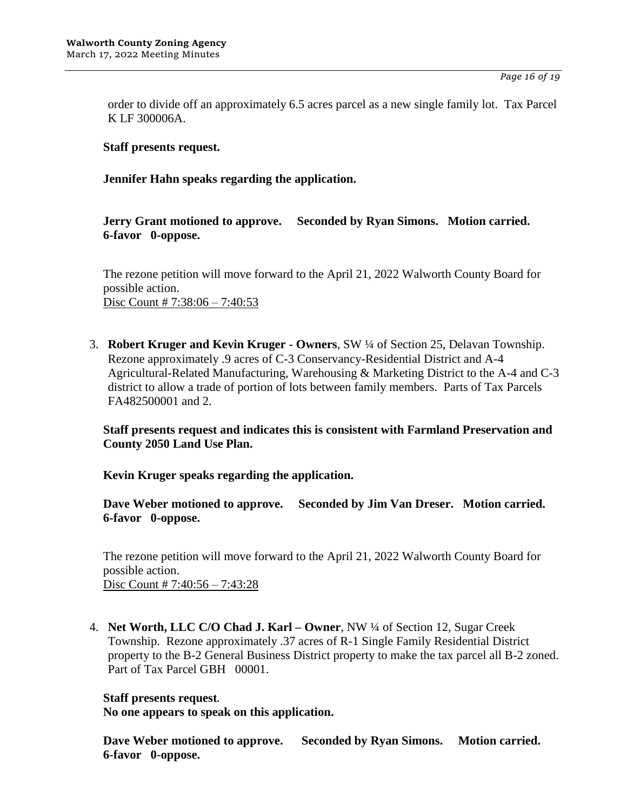order to divide off an approximately 6.5 acres parcel as a new single family lot. Tax Parcel K LF 300006A.

### **Staff presents request.**

**Jennifer Hahn speaks regarding the application.**

**Jerry Grant motioned to approve. Seconded by Ryan Simons. Motion carried. 6-favor 0-oppose.**

The rezone petition will move forward to the April 21, 2022 Walworth County Board for possible action. Disc Count # 7:38:06 - 7:40:53

3. **Robert Kruger and Kevin Kruger - Owners**, SW ¼ of Section 25, Delavan Township. Rezone approximately .9 acres of C-3 Conservancy-Residential District and A-4 Agricultural-Related Manufacturing, Warehousing & Marketing District to the A-4 and C-3 district to allow a trade of portion of lots between family members. Parts of Tax Parcels FA482500001 and 2.

**Staff presents request and indicates this is consistent with Farmland Preservation and County 2050 Land Use Plan.** 

**Kevin Kruger speaks regarding the application.**

**Dave Weber motioned to approve. Seconded by Jim Van Dreser. Motion carried. 6-favor 0-oppose.**

The rezone petition will move forward to the April 21, 2022 Walworth County Board for possible action. Disc Count # 7:40:56 – 7:43:28

4. **Net Worth, LLC C/O Chad J. Karl – Owner**, NW ¼ of Section 12, Sugar Creek Township. Rezone approximately .37 acres of R-1 Single Family Residential District property to the B-2 General Business District property to make the tax parcel all B-2 zoned. Part of Tax Parcel GBH 00001.

### **Staff presents request.**

**No one appears to speak on this application.**

**Dave Weber motioned to approve. Seconded by Ryan Simons. Motion carried. 6-favor 0-oppose.**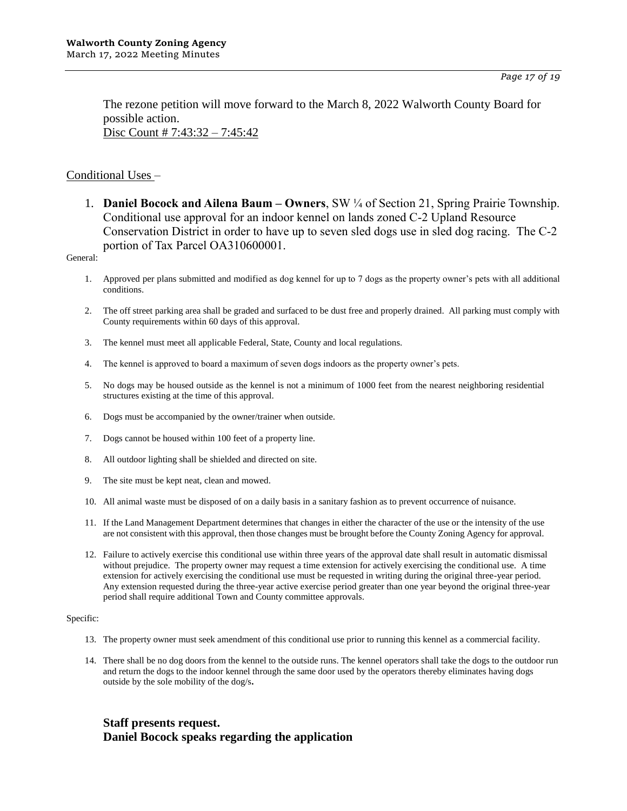The rezone petition will move forward to the March 8, 2022 Walworth County Board for possible action. Disc Count # 7:43:32 – 7:45:42

### Conditional Uses –

1. **Daniel Bocock and Ailena Baum – Owners**, SW ¼ of Section 21, Spring Prairie Township. Conditional use approval for an indoor kennel on lands zoned C-2 Upland Resource Conservation District in order to have up to seven sled dogs use in sled dog racing. The C-2 portion of Tax Parcel OA310600001.

General:

- 1. Approved per plans submitted and modified as dog kennel for up to 7 dogs as the property owner's pets with all additional conditions.
- 2. The off street parking area shall be graded and surfaced to be dust free and properly drained. All parking must comply with County requirements within 60 days of this approval.
- 3. The kennel must meet all applicable Federal, State, County and local regulations.
- 4. The kennel is approved to board a maximum of seven dogs indoors as the property owner's pets.
- 5. No dogs may be housed outside as the kennel is not a minimum of 1000 feet from the nearest neighboring residential structures existing at the time of this approval.
- 6. Dogs must be accompanied by the owner/trainer when outside.
- 7. Dogs cannot be housed within 100 feet of a property line.
- 8. All outdoor lighting shall be shielded and directed on site.
- 9. The site must be kept neat, clean and mowed.
- 10. All animal waste must be disposed of on a daily basis in a sanitary fashion as to prevent occurrence of nuisance.
- 11. If the Land Management Department determines that changes in either the character of the use or the intensity of the use are not consistent with this approval, then those changes must be brought before the County Zoning Agency for approval.
- 12. Failure to actively exercise this conditional use within three years of the approval date shall result in automatic dismissal without prejudice. The property owner may request a time extension for actively exercising the conditional use. A time extension for actively exercising the conditional use must be requested in writing during the original three-year period. Any extension requested during the three-year active exercise period greater than one year beyond the original three-year period shall require additional Town and County committee approvals.

### Specific:

- 13. The property owner must seek amendment of this conditional use prior to running this kennel as a commercial facility.
- 14. There shall be no dog doors from the kennel to the outside runs. The kennel operators shall take the dogs to the outdoor run and return the dogs to the indoor kennel through the same door used by the operators thereby eliminates having dogs outside by the sole mobility of the dog/s**.**

# **Staff presents request. Daniel Bocock speaks regarding the application**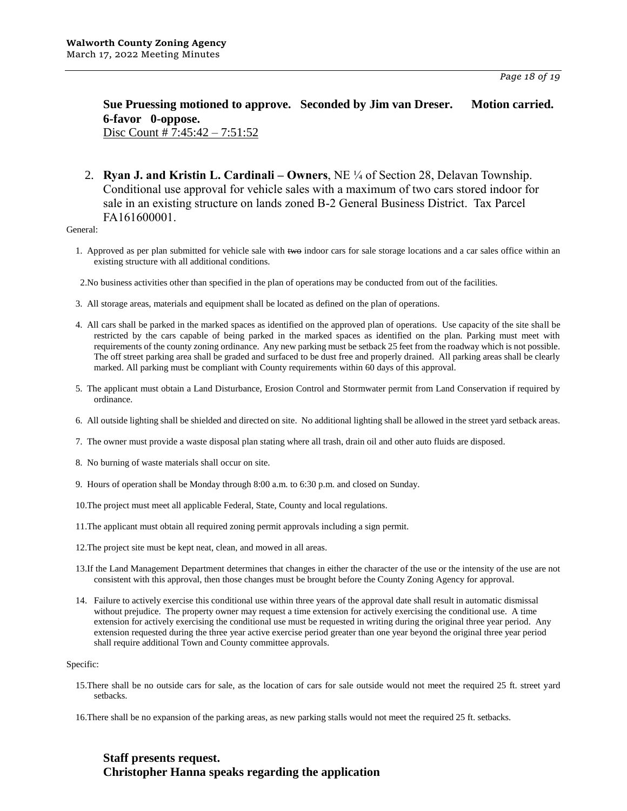### **Sue Pruessing motioned to approve. Seconded by Jim van Dreser. Motion carried. 6-favor 0-oppose.**  Disc Count # 7:45:42 – 7:51:52

2. **Ryan J. and Kristin L. Cardinali – Owners**, NE ¼ of Section 28, Delavan Township. Conditional use approval for vehicle sales with a maximum of two cars stored indoor for sale in an existing structure on lands zoned B-2 General Business District. Tax Parcel FA161600001.

General:

- 1. Approved as per plan submitted for vehicle sale with two indoor cars for sale storage locations and a car sales office within an existing structure with all additional conditions.
- 2.No business activities other than specified in the plan of operations may be conducted from out of the facilities.
- 3. All storage areas, materials and equipment shall be located as defined on the plan of operations.
- 4. All cars shall be parked in the marked spaces as identified on the approved plan of operations. Use capacity of the site shall be restricted by the cars capable of being parked in the marked spaces as identified on the plan. Parking must meet with requirements of the county zoning ordinance. Any new parking must be setback 25 feet from the roadway which is not possible. The off street parking area shall be graded and surfaced to be dust free and properly drained. All parking areas shall be clearly marked. All parking must be compliant with County requirements within 60 days of this approval.
- 5. The applicant must obtain a Land Disturbance, Erosion Control and Stormwater permit from Land Conservation if required by ordinance.
- 6. All outside lighting shall be shielded and directed on site. No additional lighting shall be allowed in the street yard setback areas.
- 7. The owner must provide a waste disposal plan stating where all trash, drain oil and other auto fluids are disposed.
- 8. No burning of waste materials shall occur on site.
- 9. Hours of operation shall be Monday through 8:00 a.m. to 6:30 p.m. and closed on Sunday.
- 10.The project must meet all applicable Federal, State, County and local regulations.
- 11.The applicant must obtain all required zoning permit approvals including a sign permit.
- 12.The project site must be kept neat, clean, and mowed in all areas.
- 13.If the Land Management Department determines that changes in either the character of the use or the intensity of the use are not consistent with this approval, then those changes must be brought before the County Zoning Agency for approval.
- 14. Failure to actively exercise this conditional use within three years of the approval date shall result in automatic dismissal without prejudice. The property owner may request a time extension for actively exercising the conditional use. A time extension for actively exercising the conditional use must be requested in writing during the original three year period. Any extension requested during the three year active exercise period greater than one year beyond the original three year period shall require additional Town and County committee approvals.

#### Specific:

- 15.There shall be no outside cars for sale, as the location of cars for sale outside would not meet the required 25 ft. street yard setbacks.
- 16.There shall be no expansion of the parking areas, as new parking stalls would not meet the required 25 ft. setbacks.

# **Staff presents request. Christopher Hanna speaks regarding the application**